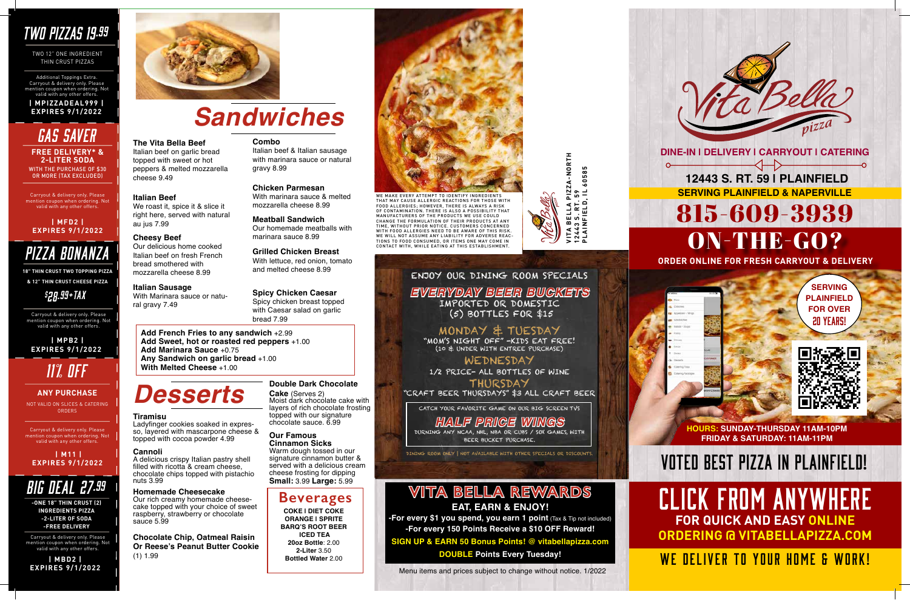**HOURS: SUNDAY-THURSDAY 11AM-10PM FRIDAY & SATURDAY: 11AM-11PM**



CLICK FROM ANYWHERE **FOR QUICK AND EASY ONLINE ORDERING @ VITABELLAPIZZA.COM**

WE DELIVER TO YOUR HOME & WORK!

# VOTED BEST PIZZA IN PLAINFIELD!

## *TWO PIZZAS 19.99*

TWO 12" ONE INGREDIENT THIN CRUST PIZZAS

Additional Toppings Extra. Carryout & delivery only. Please mention coupon when ordering. Not valid with any other offers. **| MPIZZADEAL999 |** 

# **EXPIRES 9/1/2022** *Sandwiches*

**The Vita Bella Beef** Italian beef on garlic bread topped with sweet or hot peppers & melted mozzarella

cheese 9.49

**Italian Beef**

We roast it, spice it & slice it right here, served with natural

au jus 7.99

**Cheesy Beef**

Our delicious home cooked Italian beef on fresh French bread smothered with mozzarella cheese 8.99

**Italian Sausage**

With Marinara sauce or natu-

ral gravy 7.49

#### **Combo**

Italian beef & Italian sausage with marinara sauce or natural gravy 8.99

**Chicken Parmesan** With marinara sauce & melted mozzarella cheese 8.99

**Meatball Sandwich** Our homemade meatballs with marinara sauce 8.99

**Grilled Chicken Breast** With lettuce, red onion, tomato and melted cheese 8.99

#### **Spicy Chicken Caesar**

Spicy chicken breast topped with Caesar salad on garlic bread 7.99

**Add French Fries to any sandwich** +2.99 **Add Sweet, hot or roasted red peppers** +1.00 **Add Marinara Sauce** +0.75 **Any Sandwich on garlic bread** +1.00 **With Melted Cheese** +1.00

> **-For every \$1 you spend, you earn 1 point** (Tax & Tip not included) **-For every 150 Points Receive a \$10 OFF Reward!**

## *Desserts*

WITH THE PURCHASE OF \$30 OR MORE (TAX EXCLUDED) **FREE DELIVERY\* & 2-LITER SODA**

> **Tiramisu** so, layered with mascarpone cheese & topped with cocoa powder 4.99

#### **Cannoli**

A delicious crispy Italian pastry shell filled with ricotta & cream cheese, chocolate chips topped with pistachio nuts 3.99

#### **Homemade Cheesecake**

Our rich creamy homemade cheesecake topped with your choice of sweet raspberry, strawberry or chocolate sauce 5.99

**Chocolate Chip, Oatmeal Raisin Or Reese's Peanut Butter Cookie** (1) 1.99

#### **Double Dark Chocolate**

**Cake** (Serves 2) Moist dark chocolate cake with layers of rich chocolate frosting topped with our signature chocolate sauce. 6.99

#### **Our Famous**

**Cinnamon Sicks** Warm dough tossed in our signature cinnamon butter & served with a delicious cream cheese frosting for dipping **Small:** 3.99 **Large:** 5.99

## **Beverages**

**COKE | DIET COKE ORANGE | SPRITE BARQ'S ROOT BEER ICED TEA 20oz Bottle**: 2.00 **2-Liter** 3.50 **Bottled Water** 2.00



### ENJOY OUR DINING ROOM SPECIALS *EVERYDAY BEER BUCKETS* IMPORTED OR DOMESTIC (5) BOTTLES FOR \$15

MONDAY & TUESDAY

"MOM'S NIGHT OFF" -KIDS EAT FREE! (10 & UNDER WITH ENTREE PURCHASE)

## WEDNESDAY

1/2 PRICE- ALL BOTTLES OF WINE

THURSDAY "CRAFT BEER THURSDAYS" \$3 ALL CRAFT BEER

CATCH YOUR FAVORITE GAME ON OUR BIG SCREEN TVS

## *HALF PRICE WINGS*

DURNING ANY NCAA, NHL, NBA OR CUBS / SOX GAMES, WITH BEER BUCKET PURCHASE.

DINING ROOM ONLY | NOT AVAILABLE WITH OTHER SPECIALS OR DISCOUNTS.

## **VITA BELLA REWARDS EAT, EARN & ENJOY!**

**SIGN UP & EARN 50 Bonus Points! @ vitabellapizza.com DOUBLE Points Every Tuesday!** 

Menu items and prices subject to change without notice. 1/2022

Carryout & delivery only. Please mention coupon when ordering. Not valid with any other offers.

## *GAS SAVER*

#### **| MFD2 | EXPIRES 9/1/2022**

## *PIZZA BONANZA*

**18" THIN CRUST TWO TOPPING PIZZA & 12" THIN CRUST CHEESE PIZZA**

## *\$ 28.99+TAX*

Carryout & delivery only. Please mention coupon when ordering. Not valid with any other offers.

 **| MPB2 | EXPIRES 9/1/2022**

 **| M11 | EXPIRES 9/1/2022**

Carryout & delivery only. Please mention coupon when ordering. Not valid with any other offers.

*11% OFF*

NOT VALID ON SLICES & CATERING ORDERS

#### **ANY PURCHASE**



**-ONE 18" THIN CRUST (2) INGREDIENTS PIZZA -2-LITER OF SODA -FREE DELIVERY**

Carryout & delivery only. Please ntion coupon when ordering. No valid with any other offers.

**| MBD2 | EXPIRES 9/1/2022**



WE MAKE EVERY ATTEMPT TO IDENTIFY INGREDIENTS THAT MAY CAUSE ALLERGIC REACTIONS FOR THOSE WITH<br>FOOD ALLERGIES; HOWEVER, THERE IS ALWAYS A RISK<br>OF CONTAMINATION. THERE IS ALSO A POSSIBILITY THAT MANUFACTURERS OF THE PRODUCTS WE USE COULD CHANGE THE FORMULATION OF THEIR PRODUCTS AT ANY TIME, WITHOUT PRIOR NOTICE. CUSTOMERS CONCERNED WITH FOOD ALLERGIES NEED TO BE AWARE OF THIS RISK. WE WILL NOT ASSUME ANY LIABILITY FOR ADVERSE REAC-TIONS TO FOOD CONSUMED, OR ITEMS ONE MAY COME IN CONTACT WITH, WHILE EATING AT THIS ESTABLISHMENT.

NORTH **VITA BELLA PIZZA-NORTH** 60585 **PLAINFIELD, IL 60585** n<br>D **12443 S. RT. 59**  $\overrightarrow{a}$ ⋖ ELLJ 룹  $\mathbf{a}$